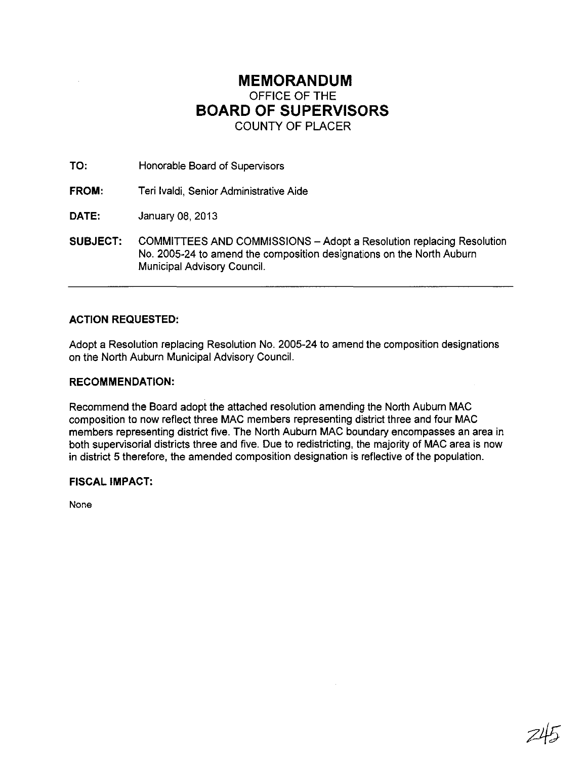## **MEMORANDUM**  OFFICE OF THE **BOARD OF SUPERVISORS**  COUNTY OF PLACER

TO: Honorable Board of Supervisors

**FROM:** Teri Ivaldi, Senior Administrative Aide

DATE: January 08, 2013

**SUBJECT:** COMMITTEES AND COMMISSIONS - Adopt a Resolution replacing Resolution No. 2005-24 to amend the composition designations on the North Auburn Municipal Advisory Council.

### **ACTION REQUESTED:**

Adopt a Resolution replacing Resolution No. 2005-24 to amend the composition designations on the North Auburn Municipal Advisory Council.

#### **RECOMMENDATION:**

Recommend the Board adopt the attached resolution amending the North Auburn MAC composition to now reflect three MAC members representing district three and four MAC members representing district five. The North Auburn MAC boundary encompasses an area in both supervisorial districts three and five. Due to redistricting, the majority of MAC area is now in district 5 therefore, the amended composition designation is reflective of the population.

#### **FISCAL IMPACT:**

None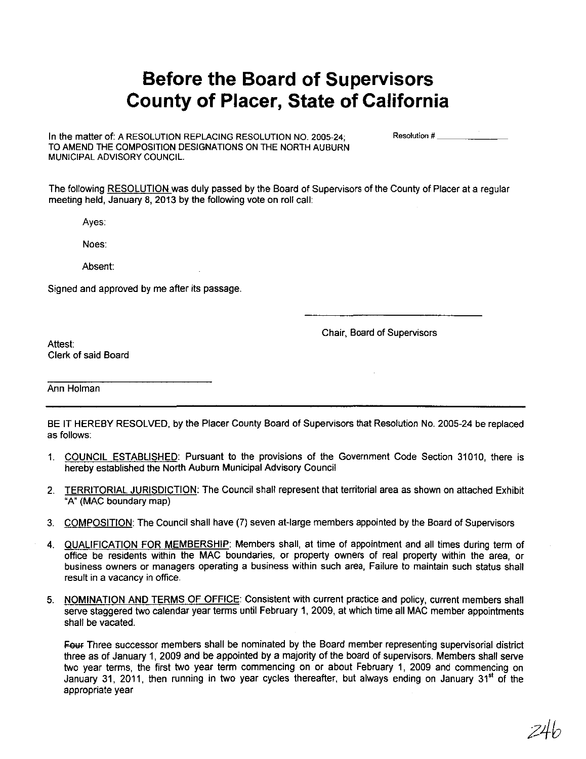# **Before the Board of Supervisors County of Placer, State of California**

In the matter of: A RESOLUTION REPLACING RESOLUTION NO. 2005-24; TO AMEND THE COMPOSITION DESIGNATIONS ON THE NORTH AUBURN MUNICIPAL ADVISORY COUNCIl.

**Resolution #**  $\frac{1}{2}$ 

The following RESOLUTION was duly passed by the Board of Supervisors of the County of Placer at a regular meeting held, January 8, 2013 by the following vote on roll call:

Ayes:

Noes:

Absent:

Signed and approved by me after its passage.

Chair, Board of Supervisors

Attest: Clerk of said Board

Ann Holman

BE IT HEREBY RESOLVED, by the Placer County Board of Supervisors that Resolution No. 2005-24 be replaced as follows:

- 1. COUNCIL ESTABLISHED: Pursuant to the provisions of the Government Code Section 31010, there is hereby established the North Auburn Municipal Advisory Council
- 2. TERRITORIAL JURISDICTION: The Council shall represent that territorial area as shown on attached Exhibit "A" (MAC boundary map)
- 3. COMPOSITION: The Council shall have (7) seven at-large members appointed by the Board of Supervisors
- 4. QUALIFICATION FOR MEMBERSHIP: Members shall, at time of appointment and all times during term of office be residents within the MAC boundaries, or property owners of real property within the area, or business owners or managers operating a business within such area, Failure to maintain such status shall result in a vacancy in office.
- 5. NOMINATION AND TERMS OF OFFICE: Consistent with current practice and policy, current members shall serve staggered two calendar year terms until February 1, 2009, at which time all MAC member appointments shall be vacated.

Four Three successor members shall be nominated by the Board member representing supervisorial district three as of January 1, 2009 and be appointed by a majority of the board of supervisors. Members shall serve two year terms, the first two year term commencing on or about February 1, 2009 and commencing on January 31, 2011, then running in two year cycles thereafter, but always ending on January 31" of the appropriate year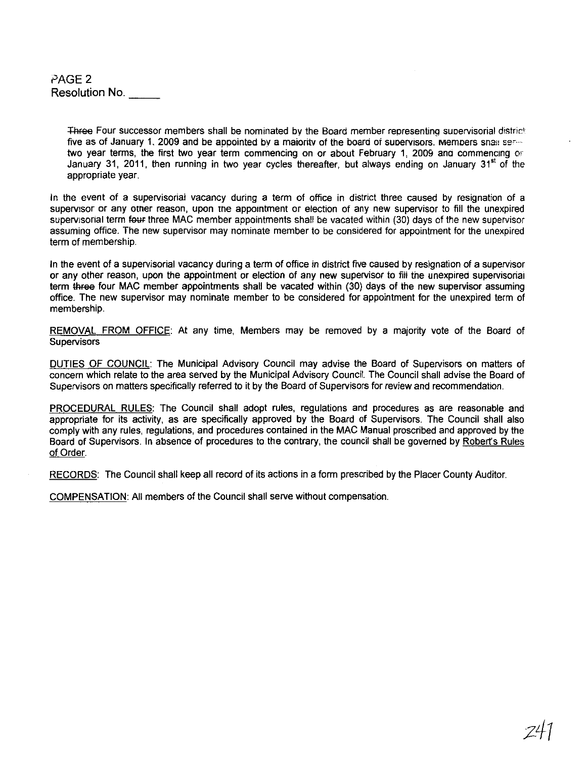PAGE 2 Resolution No.

> Three Four successor members shall be nominated by the Board member representing supervisorial district five as of January 1, 2009 and be appointed by a maiority of the board of supervisors. Mempers snall sertwo year terms, the first two year term commencing on or about February 1, 2009 and commencing or January 31, 2011, then running in two year cycles thereafter, but always ending on January 31<sup>st</sup> of the appropriate year.

In the event of a supervisorial vacancy during a term of office in district three caused by resignation of a supervisor or any other reason, upon the appointment or election of any new supervisor to fill the unexpired supervisorial term four three MAC member appointments shall be vacated within (30) days of the new supervisor assuming office. The new supervisor may nominate member to be considered for appointment for the unexpired term of membership.

In the event of a supervisorial vacancy during a term of office in district five caused by resignation of a supervisor or any other reason, upon the appointment or election of any new supervisor to fiii the unexpired supervisorial term three four MAC member appointments shall be vacated within (30) days of the new supervisor assuming office. The new supervisor may nominate member to be considered for appointment for the unexpired term of membership.

REMOVAL FROM OFFICE: At any time, Members may be removed by a majority vote of the Board of Supervisors

DUTIES OF COUNCIL: The Municipal Advisory Council may advise the Board of Supervisors on matters of concern which relate to the area served by the Municipal Advisory Council. The Council shall advise the Board of Supervisors on matters specifically referred to it by the Board of Supervisors for review and recommendation.

PROCEDURAL RULES: The Council shall adopt rules, regulations and procedures as are reasonable and appropriate for its activity, as are specifically approved by the Board of Supervisors. The Council shall also comply with any rules, regulations, and procedures contained in the MAC Manual proscribed and approved by the Board of Supervisors. In absence of procedures to the contrary, the council shall be governed by Robert's Rules of Order.

RECORDS: The Council shall keep all record of its actions in a form prescribed by the Placer County Auditor.

COMPENSATION: All members of the Council shall serve without compensation.